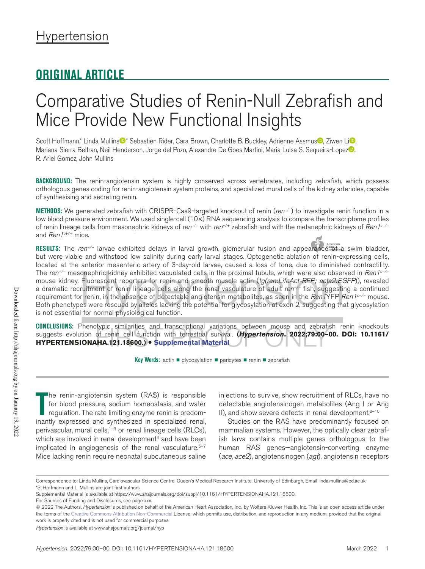# **ORIGINAL ARTICLE**

# Comparative Studies of Renin-Null Zebrafish and Mice Provide New Functional Insights

Scott Hoffmann,\* Linda Mullins<sup>®</sup>,\* Sebastien Rider, Cara Brown, Charlotte B. Buckley, Adrienne Assmus<sup>®</sup>, Ziwen Li<sup>®</sup>, Mariana Sierra Beltran, Neil Henderson, Jorge del Pozo, Alexandre De Goes Martini, Maria Luisa S. Sequeira-Lopez<sup>o</sup>, R. Ariel Gomez, John Mullins

**BACKGROUND:** The renin-angiotensin system is highly conserved across vertebrates, including zebrafish, which possess orthologous genes coding for renin-angiotensin system proteins, and specialized mural cells of the kidney arterioles, capable of synthesising and secreting renin.

**METHODS:** We generated zebrafsh with CRISPR-Cas9-targeted knockout of renin (*ren−/−*) to investigate renin function in a low blood pressure environment. We used single-cell (10×) RNA sequencing analysis to compare the transcriptome profles of renin lineage cells from mesonephric kidneys of *ren−/−* with *ren*+/+ zebrafsh and with the metanephric kidneys of *Ren1c−/−* and *Ren1<sup>c+/+</sup>* mice.

RESULTS: The *ren−/-* larvae exhibited delays in larval growth, glomerular fusion and appearance of a swim bladder, but were viable and withstood low salinity during early larval stages. Optogenetic ablation of renin-expressing cells, located at the anterior mesenteric artery of 3-day-old larvae, caused a loss of tone, due to diminished contractility. The *ren−/−* mesonephric kidney exhibited vacuolated cells in the proximal tubule, which were also observed in *Ren1c−/−* mouse kidney. Fluorescent reporters for renin and smooth muscle actin (*tg(ren:LifeAct-RFP; acta2:EGFP*)), revealed a dramatic recruitment of renin lineage cells along the renal vasculature of adult *ren−/−* fsh, suggesting a continued requirement for renin, in the absence of detectable angiotensin metabolites, as seen in the *Ren1*YFP *Ren1c−/−* mouse. Both phenotypes were rescued by alleles lacking the potential for glycosylation at exon 2, suggesting that glycosylation is not essential for normal physiological function.

**CONCLUSIONS:** Phenotypic similarities and transcriptional variations between mouse and zebrafish renin knockouts suggests evolution of renin cell function with terrestrial survival. **(***Hypertension***. 2022;79:00–00. DOI: 10.1161/ HYPERTENSIONAHA.121.18600.)** • **Supplemental Material**

**Key Words:** actin ■ glycosylation ■ pericytes ■ renin ■ zebrafish

The renin-angiotensin system (RAS) is responsible for blood pressure, sodium homeostasis, and water regulation. The rate limiting enzyme renin is predominantly expressed and synthesized in specialized renal, he renin-angiotensin system (RAS) is responsible for blood pressure, sodium homeostasis, and water regulation. The rate limiting enzyme renin is predomperivascular, mural cells, $1-3$  or renal lineage cells (RLCs), which are involved in renal development<sup>4</sup> and have been implicated in angiogenesis of the renal vasculature.<sup>5-7</sup> Mice lacking renin require neonatal subcutaneous saline

injections to survive, show recruitment of RLCs, have no detectable angiotensinogen metabolites (Ang I or Ang II), and show severe defects in renal development. $8-10$ 

Studies on the RAS have predominantly focused on mammalian systems. However, the optically clear zebrafish larva contains multiple genes orthologous to the human RAS genes—angiotensin-converting enzyme (*ace*, *ace2*), angiotensinogen (*agt*), angiotensin receptors

For Sources of Funding and Disclosures, see page xxx.

Correspondence to: Linda Mullins, Cardiovascular Science Centre, Queen's Medical Research Institute, University of Edinburgh, Email [linda.mullins@ed.ac.uk](mailto:linda.mullins@ed.ac.uk) \*S. Hoffmann and L. Mullins are joint frst authors.

Supplemental Material is available at https://www.ahajournals.org/doi/suppl/10.1161/HYPERTENSIONAHA.121.18600.

<sup>© 2022</sup> The Authors. *Hypertension* is published on behalf of the American Heart Association, Inc., by Wolters Kluwer Health, Inc. This is an open access article under the terms of the Creative Commons Attribution Non-Commercial License, which permits use, distribution, and reproduction in any medium, provided that the original work is properly cited and is not used for commercial purposes.

*Hypertension* is available at www.ahajournals.org/journal/hyp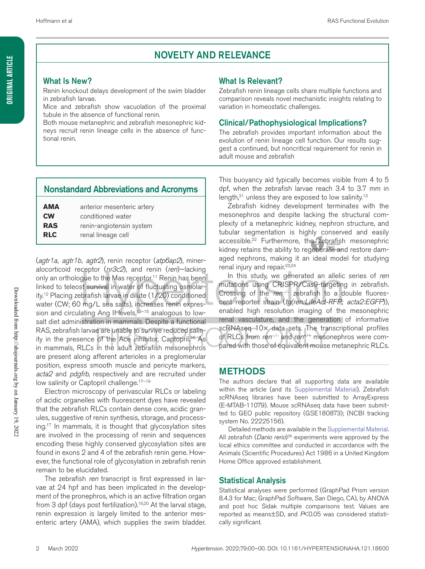## NOVELTY AND RELEVANCE

## What Is New?

Renin knockout delays development of the swim bladder in zebrafish larvae.

Mice and zebrafish show vacuolation of the proximal tubule in the absence of functional renin.

Both mouse metanephric and zebrafish mesonephric kidneys recruit renin lineage cells in the absence of functional renin.

## What Is Relevant?

Zebrafish renin lineage cells share multiple functions and comparison reveals novel mechanistic insights relating to variation in homeostatic challenges.

## Clinical/Pathophysiological Implications?

The zebrafish provides important information about the evolution of renin lineage cell function. Our results suggest a continued, but noncritical requirement for renin in adult mouse and zebrafish

## Nonstandard Abbreviations and Acronyms

| AMA        | anterior mesenteric artery |
|------------|----------------------------|
| <b>CW</b>  | conditioned water          |
| <b>RAS</b> | renin-angiotensin system   |
| <b>RLC</b> | renal lineage cell         |

(*agtr1a, agtr1b, agtr2*), renin receptor (*atp6ap2*), mineralocorticoid receptor (*nr3c2*), and renin (*ren*)—lacking only an orthologue to the Mas receptor.<sup>11</sup> Renin has been linked to teleost survival in water of fuctuating osmolarity.<sup>12</sup> Placing zebrafish larvae in dilute (1/20) conditioned water (CW; 60 mg/L sea salts), increases renin expression and circulating Ang II levels,<sup>13-15</sup> analogous to lowsalt diet administration in mammals. Despite a functional RAS, zebrafish larvae are unable to survive reduced salinity in the presence of the Ace inhibitor, Captopril.<sup>16</sup> As in mammals, RLCs in the adult zebrafish mesonephros are present along afferent arterioles in a preglomerular position, express smooth muscle and pericyte markers, *acta2* and *pdgfrb*, respectively and are recruited under low salinity or Captopril challenge.17–19

Electron microscopy of perivascular RLCs or labeling of acidic organelles with fuorescent dyes have revealed that the zebrafish RLCs contain dense core, acidic granules, suggestive of renin synthesis, storage, and processing.17 In mammals, it is thought that glycosylation sites are involved in the processing of renin and sequences encoding these highly conserved glycosylation sites are found in exons 2 and 4 of the zebrafish renin gene. However, the functional role of glycosylation in zebrafish renin remain to be elucidated.

The zebrafish *ren* transcript is first expressed in larvae at 24 hpf and has been implicated in the development of the pronephros, which is an active filtration organ from 3 dpf (days post fertilization).<sup>16,20</sup> At the larval stage, renin expression is largely limited to the anterior mesenteric artery (AMA), which supplies the swim bladder.

This buoyancy aid typically becomes visible from 4 to 5 dpf, when the zebrafish larvae reach 3.4 to 3.7 mm in length, $21$  unless they are exposed to low salinity.<sup>13</sup>

Zebrafish kidney development terminates with the mesonephros and despite lacking the structural complexity of a metanephric kidney, nephron structure, and tubular segmentation is highly conserved and easily accessible.<sup>22</sup> Furthermore, the zebrafish mesonephric kidney retains the ability to regenerate and restore damaged nephrons, making it an ideal model for studying renal injury and repair.<sup>23,24</sup>

In this study, we generated an allelic series of *ren* mutations using CRISPR/Cas9-targeting in zebrafish. Crossing of the *ren<sup>-/−</sup>* zebrafish to a double fluorescent reporter strain (*tg(ren:LifeAct-RFP; acta2:EGFP*)), enabled high resolution imaging of the mesonephric renal vasculature, and the generation of informative scRNAseq 10x data sets. The transcriptional profiles of RLCs from *ren−/−* and *ren*+/+ mesonephros were compared with those of equivalent mouse metanephric RLCs.

## METHODS

The authors declare that all supporting data are available within the article (and its Supplemental Material). Zebrafish scRNAseq libraries have been submitted to ArrayExpress (E-MTAB-11079). Mouse scRNAseq data have been submitted to GEO public repository (GSE180873); (NCBI tracking system No. 22225156).

Detailed methods are available in the Supplemental Material. All zebrafish (*Danio rerio*)<sup>25</sup> experiments were approved by the local ethics committee and conducted in accordance with the Animals (Scientific Procedures) Act 1986 in a United Kingdom Home Office approved establishment.

## Statistical Analysis

Statistical analyses were performed (GraphPad Prism version 8.4.3 for Mac; GraphPad Software, San Diego, CA), by ANOVA and post hoc Sidak multiple comparisons test. Values are reported as means±SD, and *P*<0.05 was considered statistically significant.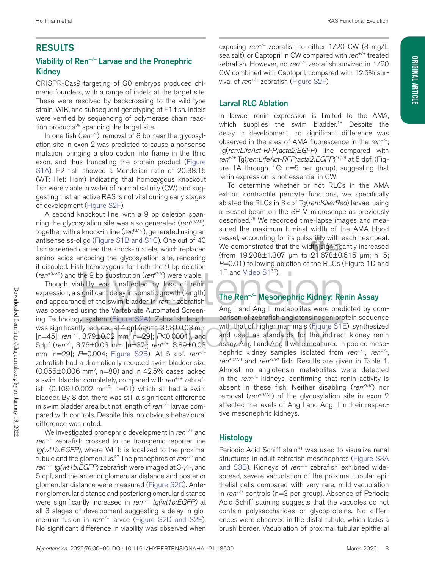**Original Article**

**ORIGINAL ARTICLE** 

## RESULTS

## Viability of Ren*−/−* Larvae and the Pronephric **Kidney**

CRISPR-Cas9 targeting of G0 embryos produced chimeric founders, with a range of indels at the target site. These were resolved by backcrossing to the wild-type strain, WIK, and subsequent genotyping of F1 fish. Indels were verifed by sequencing of polymerase chain reaction products $26$  spanning the target site.

In one fish (*ren<sup>-/-</sup>*), removal of 8 bp near the glycosylation site in exon 2 was predicted to cause a nonsense mutation, bringing a stop codon into frame in the third exon, and thus truncating the protein product (Figure S1A). F2 fish showed a Mendelian ratio of 20:38:15 (WT: Het: Hom) indicating that homozygous knockout fish were viable in water of normal salinity (CW) and suggesting that an active RAS is not vital during early stages of development (Figure S2F).

A second knockout line, with a 9 bp deletion spanning the glycosylation site was also generated (*ren*<sup>Δ9/Δ9</sup>), together with a knock-in line (*ren*<sup>KI/KI</sup>), generated using an antisense ss-oligo (Figure S1B and S1C). One out of 40 fish screened carried the knock-in allele, which replaced amino acids encoding the glycosylation site, rendering it disabled. Fish homozygous for both the 9 bp deletion (*ren*<sup>Δ</sup>9/<sup>Δ</sup>9) and the 9 bp substitution (*renKI/KI*) were viable.

Though viability was unaffected by loss of renin expression, a significant delay in somatic growth (length) and appearance of the swim bladder in *ren<sup>-/−</sup>* zebrafish, was observed using the Vertebrate Automated Screening Technology system (Figure S2A). Zebrafish length was significantly reduced at 4 dpf (*ren<sup>-/-</sup>*, 3.58±0.03 mm [n=45]; *ren*+/+, 3.79±0.02 mm [n=29]; *P*<0.0001), and 5dpf (*ren−/−*, 3.76±0.03 mm [n=37]; *ren*+/+, 3.89±0.03 mm [n=29]; *P*=0.004; Figure S2B). At 5 dpf, *ren−/−* zebrafish had a dramatically reduced swim bladder size (0.055±0.006 mm2, n=80) and in 42.5% cases lacked a swim bladder completely, compared with *ren*+/+ zebrafish,  $(0.109 \pm 0.002$  mm<sup>2</sup>; n=61) which all had a swim bladder. By 8 dpf, there was still a significant difference in swim bladder area but not length of *ren−/−* larvae compared with controls. Despite this, no obvious behavioural difference was noted.

We investigated pronephric development in *ren*+/+ and *ren<sup>-/-</sup>* zebrafish crossed to the transgenic reporter line *tg(wt1b:EGFP)*, where Wt1b is localized to the proximal tubule and the glomerulus.27 The pronephros of *ren+/+* and *ren<sup>-/-</sup> tg(wt1b:EGFP*) zebrafish were imaged at 3-,4-, and 5 dpf, and the anterior glomerular distance and posterior glomerular distance were measured (Figure S2C). Anterior glomerular distance and posterior glomerular distance were signifcantly increased in *ren−/− tg(wt1b:EGFP)* at all 3 stages of development suggesting a delay in glomerular fusion in *ren−/−* larvae (Figure S2D and S2E). No significant difference in viability was observed when exposing *ren<sup>-/-</sup>* zebrafish to either 1/20 CW (3 mg/L sea salt), or Captopril in CW compared with *ren*+/+ treated zebrafish. However, no *ren<sup>-/−</sup>* zebrafish survived in 1/20 CW combined with Captopril, compared with 12.5% survival of *ren*<sup>+/+</sup> zebrafish (Figure S2F).

## Larval RLC Ablation

In larvae, renin expression is limited to the AMA, which supplies the swim bladder.<sup>16</sup> Despite the delay in development, no significant difference was observed in the area of AMA fuorescence in the *ren−/−*; Tg(*ren:LifeAct-RFP;acta2:EGFP*) line compared with *ren*+/+;Tg(*ren:LifeAct-RFP;acta2:EGFP*) 16,28 at 5 dpf, (Figure 1A through 1C; n=5 per group), suggesting that renin expression is not essential in CW.

To determine whether or not RLCs in the AMA exhibit contractile pericyte functions, we specifically ablated the RLCs in 3 dpf Tg(*ren:KillerRed*) larvae, using a Bessel beam on the SPIM microscope as previously described.29 We recorded time-lapse images and measured the maximum luminal width of the AMA blood vessel, accounting for its pulsatility with each heartbeat. We demonstrated that the width significantly increased (from 19.208±1.307 µm to 21.678±0.615 µm; n=5; *P*=0.01) following ablation of the RLCs (Figure 1D and 1F and Video S130).  $\mathbbm{1}$ 

## The Ren*−/−* Mesonephric Kidney: Renin Assay

Ang I and Ang II metabolites were predicted by comparison of zebrafish angiotensinogen protein sequence with that of higher mammals (Figure S1E), synthesized and used as standards for the indirect kidney renin assay. Ang I and Ang II were measured in pooled mesonephric kidney samples isolated from *ren*+/+, *ren−/−*, *ren*<sup>Δ9/Δ9</sup> and *ren<sup>KI/KI</sup>* fish. Results are given in Table 1. Almost no angiotensin metabolites were detected in the *ren−/−* kidneys, confrming that renin activity is absent in these fish. Neither disabling (ren<sup>KI/KI</sup>) nor removal (*ren*<sup>Δ</sup>9/<sup>Δ</sup>9) of the glycosylation site in exon 2 affected the levels of Ang I and Ang II in their respective mesonephric kidneys.

## **Histology**

Periodic Acid Schiff stain<sup>31</sup> was used to visualize renal structures in adult zebrafish mesonephros (Figure S3A and S3B). Kidneys of *ren<sup>-/−</sup>* zebrafish exhibited widespread, severe vacuolation of the proximal tubular epithelial cells compared with very rare, mild vacuolation in *ren+/+* controls (n=3 per group). Absence of Periodic Acid Schiff staining suggests that the vacuoles do not contain polysaccharides or glycoproteins. No differences were observed in the distal tubule, which lacks a brush border. Vacuolation of proximal tubular epithelial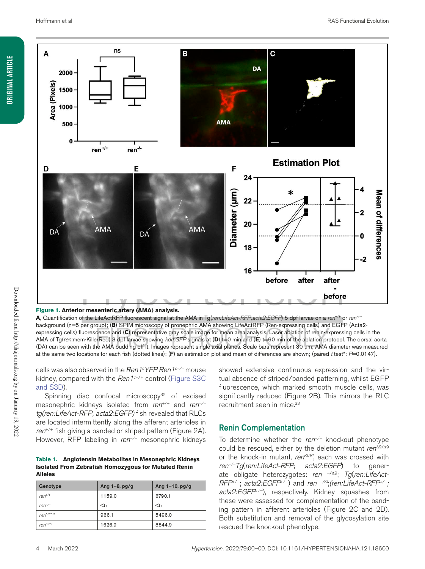**Original Article**

**ORIGINAL ARTICLE** 



#### **Figure 1. Anterior mesenteric artery (AMA) analysis.**

**A**, Quantifcation of the LifeActRFP fuorescent signal at the AMA in Tg(*ren:LifeAct-RFP;acta2:EGFP*) 5 dpf larvae on a *ren*+/+ or *ren−/−* background (n=5 per group); (**B**) SPIM microscopy of pronephric AMA showing LifeActRFP (Ren-expressing cells) and EGFP (Acta2 expressing cells) fuorescence and (**C**) representative gray scale image for mean area analysis. Laser ablation of renin-expressing cells in the AMA of Tg(*ren*:mem-KillerRed) 3 dpf larvae showing *kdrl*:*GFP* signals at (**D**) t=0 min and (**E**) t=60 min of the ablation protocol. The dorsal aorta (DA) can be seen with the AMA budding off it. Images represent single axial planes. Scale bars represent 30 μm; AMA diameter was measured at the same two locations for each fsh (dotted lines); (**F**) an estimation plot and mean of differences are shown; (paired *t* test\*: *P*=0.0147).

cells was also observed in the *Ren1c YFP Ren1c−/−* mouse kidney, compared with the *Ren1c*+/+ control (Figure S3C and S3D).

Spinning disc confocal microscopy $32$  of excised mesonephric kidneys isolated from *ren*+/+ and *ren−/−* tg(ren:LifeAct-RFP, acta2:EGFP) fish revealed that RLCs are located intermittently along the afferent arterioles in ren<sup>+/+</sup> fish giving a banded or striped pattern (Figure 2A). However, RFP labeling in *ren−/−* mesonephric kidneys

**Table 1. Angiotensin Metabolites in Mesonephric Kidneys Isolated From Zebrafish Homozygous for Mutated Renin Alleles**

| Genotype             | Ang $1-8$ , pg/g | Ang $1-10$ , pg/g |
|----------------------|------------------|-------------------|
| $ren^{+/+}$          | 1159.0           | 6790.1            |
| $ren^{-/-}$          | $5$              | < 5               |
| ren <sup>A9/A9</sup> | 966.1            | 5496.0            |
| ren <sup>KI/KI</sup> | 1626.9           | 8844.9            |

showed extensive continuous expression and the virtual absence of striped/banded patterning, whilst EGFP fuorescence, which marked smooth muscle cells, was significantly reduced (Figure 2B). This mirrors the RLC recruitment seen in mice.<sup>33</sup>

## Renin Complementation

To determine whether the *ren−/−* knockout phenotype could be rescued, either by the deletion mutant ren<sup>Δ9/Δ9</sup> or the knock-in mutant, *ren<sup>ki/ki</sup>*, each was crossed with *ren−/−Tg*(*ren:LifeAct-RFP*; *acta2:EGFP*) to generate obligate heterozygotes: *ren* −/<sup>Δ</sup>9; *Tg*(*ren:LifeAct-RFP*+/−; *acta2:EGFP*+/−) and *ren* <sup>−</sup>*/KI*;*(ren:LifeAct-RFP+/*−*; acta2:EGFP+/*−), respectively. Kidney squashes from these were assessed for complementation of the banding pattern in afferent arterioles (Figure 2C and 2D). Both substitution and removal of the glycosylation site rescued the knockout phenotype.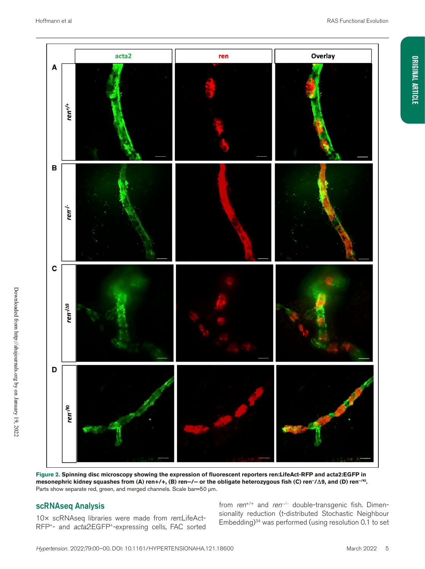

**Figure 2. Spinning disc microscopy showing the expression of fuorescent reporters ren:LifeAct-RFP and acta2:EGFP in**  mesonephric kidney squashes from (A) ren+/+, (B) ren-/- or the obligate heterozygous fish (C) ren<sup>-</sup>/∆9, and (D) ren<sup>-/KI</sup>. Parts show separate red, green, and merged channels. Scale bar=50 µm.

## scRNAseq Analysis

10× scRNAseq libraries were made from *ren*:LifeAct-RFP+- and *acta2*:EGFP+-expressing cells, FAC sorted from *ren<sup>+/+</sup>* and *ren<sup>-/-</sup>* double-transgenic fish. Dimensionality reduction (t-distributed Stochastic Neighbour Embedding)34 was performed (using resolution 0.1 to set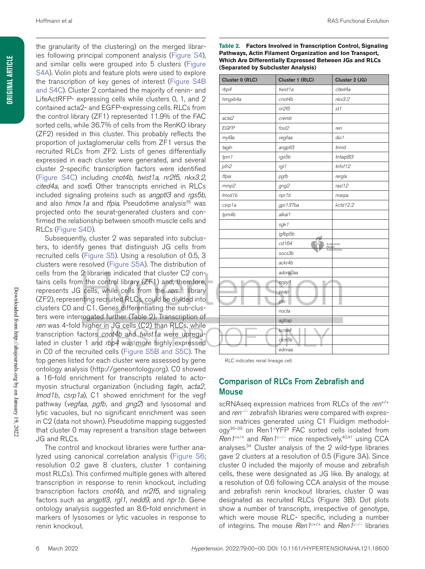the granularity of the clustering) on the merged libraries following principal component analysis (Figure S4), and similar cells were grouped into 5 clusters (Figure S4A). Violin plots and feature plots were used to explore the transcription of key genes of interest (Figure S4B and S4C). Cluster 2 contained the majority of renin- and LifeActRFP- expressing cells while clusters 0, 1, and 2 contained acta2- and EGFP-expressing cells. RLCs from the control library (ZF1) represented 11.9% of the FAC sorted cells, while 36.7% of cells from the RenKO library (ZF2) resided in this cluster. This probably reflects the proportion of juxtaglomerular cells from ZF1 versus the recruited RLCs from ZF2. Lists of genes differentially expressed in each cluster were generated, and several cluster 2-specific transcription factors were identified (Figure S4C) including *cnot4b*, *twist1a*, *nr2f5*, *nkx3.2*, *cited4a,* and *sox6*. Other transcripts enriched in RLCs included signaling proteins such as *angptl3* and *rgs5b*, and also *hmox1a* and *tfpia*. Pseudotime analysis<sup>35</sup> was projected onto the seurat-generated clusters and confirmed the relationship between smooth muscle cells and RLCs (Figure S4D).

Subsequently, cluster 2 was separated into subclusters, to identify genes that distinguish JG cells from recruited cells (Figure S5). Using a resolution of 0.5, 3 clusters were resolved (Figure S5A). The distribution of cells from the 2 libraries indicated that cluster C2 contains cells from the control library (ZF1) and, therefore, represents JG cells, while cells from the *ren−/−* library (ZF2), representing recruited RLCs, could be divided into clusters C0 and C1. Genes differentiating the sub-clusters were interrogated further (Table 2). Transcription of *ren* was 4-fold higher in JG cells (C2) than RLCs, while transcription factors *cnot4b* and *twist1a* were upregulated in cluster 1 and *rbp4* was more highly expressed in C0 of the recruited cells (Figure S5B and S5C). The top genes listed for each cluster were assessed by gene ontology analysis (http://geneontology.org). C0 showed a 16-fold enrichment for transcripts related to actomyosin structural organization (including *tagln, acta2, lmod1b, csrp1a*), C1 showed enrichment for the vegf pathway (*vegfaa, pgfb,* and *gng2*) and lysosomal and lytic vacuoles, but no significant enrichment was seen in C2 (data not shown). Pseudotime mapping suggested that cluster 0 may represent a transition stage between JG and RLCs.

The control and knockout libraries were further analyzed using canonical correlation analysis (Figure S6; resolution 0.2 gave 8 clusters, cluster 1 containing most RLCs). This confrmed multiple genes with altered transcription in response to renin knockout, including transcription factors *cnot4b*, and *nr2f5*, and signaling factors such as *angptl3, rgl1*, *nedd9*, and *npr1b.* Gene ontology analysis suggested an 8.6-fold enrichment in markers of lysosomes or lytic vacuoles in response to renin knockout.

**Table 2. Factors Involved in Transcription Control, Signaling Pathways, Actin Filament Organization and Ion Transport, Which Are Differentially Expressed Between JGs and RLCs (Separated by Subcluster Analysis)**

| Cluster 0 (RLC)   | Cluster 1 (RLC)      | Cluster 2 (JG)                    |  |  |
|-------------------|----------------------|-----------------------------------|--|--|
| rbp4              | twist1a              | cited4a                           |  |  |
| hmgxb4a           | cnot4b               | nkx3.2                            |  |  |
|                   | nr2f5                | id1                               |  |  |
| acta <sub>2</sub> | cremb                |                                   |  |  |
| <b>EGFP</b>       | $f$ osl $2$          | ren                               |  |  |
| myl9a             | vegfaa               | dio 1                             |  |  |
| tagln             | angptl3              | tnmd                              |  |  |
| tpm1              | rgs5b                | tnfaip8l3                         |  |  |
| pfn2              | rgl1                 | tnfsf12                           |  |  |
| tfpia             | pgfb                 | rergla                            |  |  |
| mmp2              | $g$ ng $2$           | rasl12                            |  |  |
| Imod1b            | npr1b                | nrarpa                            |  |  |
| csrp1a            | gpr137ba             | kctd12.2                          |  |  |
| tpm4b             | alkal1               |                                   |  |  |
|                   | sgk1                 |                                   |  |  |
|                   | igfbp5b              |                                   |  |  |
|                   | cd164                | American<br>Heart<br>Association. |  |  |
|                   | socs3b               |                                   |  |  |
|                   | ackr4b               |                                   |  |  |
|                   | adora <sub>2aa</sub> |                                   |  |  |
|                   | cnpy1                |                                   |  |  |
|                   | psap                 |                                   |  |  |
|                   | ptn                  |                                   |  |  |
|                   | nocta                |                                   |  |  |
|                   | agtrap               |                                   |  |  |
|                   | kcne4                |                                   |  |  |
|                   | clcn5b               |                                   |  |  |
|                   | ednraa               |                                   |  |  |

RLC indicates renal lineage cell.

## **Comparison of RLCs From Zebrafish and Mouse**

scRNAseq expression matrices from RLCs of the *ren*+/+ and *ren<sup>-/-</sup>* zebrafish libraries were compared with expression matrices generated using C1 Fluidigm methodology<sup>36–39</sup> on Ren1<sup>c</sup>YFP FAC sorted cells isolated from *Ren1<sup>c+/+</sup>* and *Ren1<sup>c−/−</sup>* mice respectively,<sup>40,41</sup> using CCA analyses.34 Cluster analysis of the 2 wild-type libraries gave 2 clusters at a resolution of 0.5 (Figure 3A). Since cluster 0 included the majority of mouse and zebrafish cells, these were designated as JG like. By analogy, at a resolution of 0.6 following CCA analysis of the mouse and zebrafish renin knockout libraries, cluster 0 was designated as recruited RLCs (Figure 3B). Dot plots show a number of transcripts, irrespective of genotype, which were mouse RLC- specific, including a number of integrins. The mouse *Ren1c*+/+ and *Ren1c−/−* libraries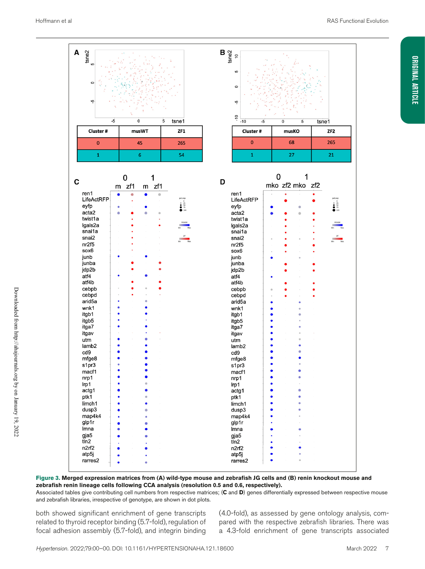

**Figure 3. Merged expression matrices from (A) wild-type mouse and zebrafsh JG cells and (B) renin knockout mouse and zebrafsh renin lineage cells following CCA analysis (resolution 0.5 and 0.6, respectively).**

Associated tables give contributing cell numbers from respective matrices; (**C** and **D**) genes differentially expressed between respective mouse and zebrafish libraries, irrespective of genotype, are shown in dot plots.

both showed significant enrichment of gene transcripts related to thyroid receptor binding (5.7-fold), regulation of focal adhesion assembly (5.7-fold), and integrin binding (4.0-fold), as assessed by gene ontology analysis, compared with the respective zebrafish libraries. There was a 4.3-fold enrichment of gene transcripts associated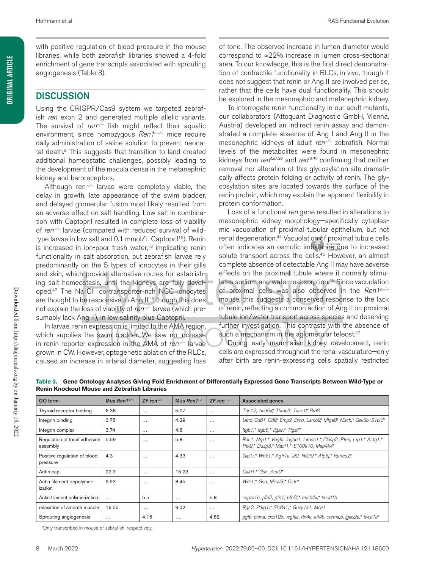## **DISCUSSION**

Using the CRISPR/Cas9 system we targeted zebrafish *ren* exon 2 and generated multiple allelic variants. The survival of *ren<sup>-/−</sup>* fish might reflect their aquatic environment, since homozygous *Ren1*c*−/−* mice require daily administration of saline solution to prevent neonatal death.<sup>9</sup> This suggests that transition to land created additional homeostatic challenges, possibly leading to the development of the macula densa in the metanephric kidney and baroreceptors.

Although ren*−/−* larvae were completely viable, the delay in growth, late appearance of the swim bladder, and delayed glomerular fusion most likely resulted from an adverse effect on salt handling. Low salt in combination with Captopril resulted in complete loss of viability of *ren−/−* larvae (compared with reduced survival of wildtype larvae in low salt and 0.1 mmol/L Captopril<sup>16</sup>). Renin is increased in ion-poor fresh water, $13$  implicating renin functionality in salt absorption, but zebrafish larvae rely predominantly on the 5 types of ionocytes in their gills and skin, which provide alternative routes for establishing salt homeostasis, until the kidneys are fully developed.42 The Na+Cl− co-transporter-rich NCC ionocytes are thought to be responsive to Ang II,<sup>43</sup> though this does not explain the loss of viability of *ren−/−* larvae (which presumably lack Ang II), in low salinity plus Captopril.

In larvae, renin expression is limited to the AMA region, which supplies the swim bladder. We saw no increase in renin reporter expression in the AMA of *ren−/−* larvae grown in CW. However, optogenetic ablation of the RLCs, caused an increase in arterial diameter, suggesting loss

of tone. The observed increase in lumen diameter would correspond to ≈22% increase in lumen cross-sectional area. To our knowledge, this is the first direct demonstration of contractile functionality in RLCs, in vivo, though it does not suggest that renin or Ang II are involved per se, rather that the cells have dual functionality. This should be explored in the mesonephric and metanephric kidney.

To interrogate renin functionality in our adult mutants, our collaborators (Attoquant Diagnostic GmbH, Vienna, Austria) developed an indirect renin assay and demonstrated a complete absence of Ang I and Ang II in the mesonephric kidneys of adult ren<sup>-/-</sup> zebrafish. Normal levels of the metabolites were found in mesonephric kidneys from *ren*<sup>Δ9/Δ9</sup> and *ren<sup>KI/KI</sup>* confirming that neither removal nor alteration of this glycosylation site dramatically affects protein folding or activity of renin. The glycosylation sites are located towards the surface of the renin protein, which may explain the apparent flexibility in protein conformation.

Loss of a functional *ren* gene resulted in alterations to mesonephric kidney morphology-specifically cytoplasmic vacuolation of proximal tubular epithelium, but not renal degeneration.<sup>44</sup> Vacuolation of proximal tubule cells often indicates an osmotic imbalance due to increased solute transport across the cells.<sup>45</sup> However, an almost complete absence of detectable Ang II may have adverse effects on the proximal tubule where it normally stimulates sodium and water reabsorption.<sup>46</sup> Since vacuolation of proximal cells was also observed in the *Ren1c−/−* mouse, this suggests a conserved response to the lack of renin, refecting a common action of Ang II on proximal tubule ion/water transport across species and deserving further investigation. This contrasts with the absence of such a mechanism in the aglomerular teleost.<sup>47</sup>

During early mammalian kidney development, renin cells are expressed throughout the renal vasculature—only after birth are renin-expressing cells spatially restricted

| GO term                                  | Mus $Ren1^{+/+}$ | $ZF ren^{+/+}$ | Mus $Ren1^{-/-}$ | ZF ren $-/-$ | <b>Associated genes</b>                                                                                      |
|------------------------------------------|------------------|----------------|------------------|--------------|--------------------------------------------------------------------------------------------------------------|
| Thyroid receptor binding                 | 6.38             | $\cdots$       | 5.07             | $\cdots$     | Trip12, Arid5a,* Thrap3, Tacc1,* Brd8                                                                        |
| Integrin binding                         | 3.78             | $\cdots$       | 4.29             | $\cdots$     | Utrn,* Cd81, Cd9,* Emp2, Dmd, Lamb2,* Mfge8,* Nisch,* Gsk3b, S1pr3*                                          |
| Integrin complex                         | 3.74             | $\cdots$       | 4.6              | $\cdots$     | ltgb1,* ltgb5,* ltgav,* 1tga7*                                                                               |
| Regulation of focal adhesion<br>assembly | 5.59             | $\cdots$       | 5.8              | $\cdots$     | Rac1, Nrp1,* Vegfa, Iqgap1, Limch1,* Clasp2, Pten, Lrp1,* Actg1,*<br>Ptk2,* Dusp3,* Macf1,* S100a10, Map4k4* |
| Positive regulation of blood<br>pressure | 4.3              | $\cdots$       | 4.33             | $\cdots$     | Glp1r,* Wnk1,* Agtr1a, id2, Nr2f2,* Atp5j,* Rarres2*                                                         |
| Actin cap                                | 22.3             | $\cdots$       | 15.23            | $\cdots$     | Cald1,* Gsn, Actr2*                                                                                          |
| Actin filament depolymer-<br>ization     | 9.93             | $\cdots$       | 8.45             | $\cdots$     | Wdr1,* Gsn, Mical3,* Dstn*                                                                                   |
| Actin filament polymerization            | $\cdots$         | 5.5            | $\cdots$         | 5.8          | capza1b, pfn2, pfn1, pfn2l,* tmsb4x,* lmod1b                                                                 |
| relaxation of smooth muscle              | 16.55            | $\cdots$       | 9.02             | $\cdots$     | Rgs2, Prkg1,* Slc8a1,* Gucy1a1, Mrvi1                                                                        |
| Sprouting angiogenesis                   | $\cdots$         | 4.16           | $\cdots$         | 4.82         | pgfb, pkma, cxcl12b, vegfaa, rtn4a, atf4b, crema,b, lgals2a,* twist1a*                                       |

**Table 3. Gene Ontology Analyses Giving Fold Enrichment of Differentially Expressed Gene Transcripts Between Wild-Type or Renin Knockout Mouse and Zebrafish Libraries** 

\*Only transcribed in mouse or zebrafish, respectively.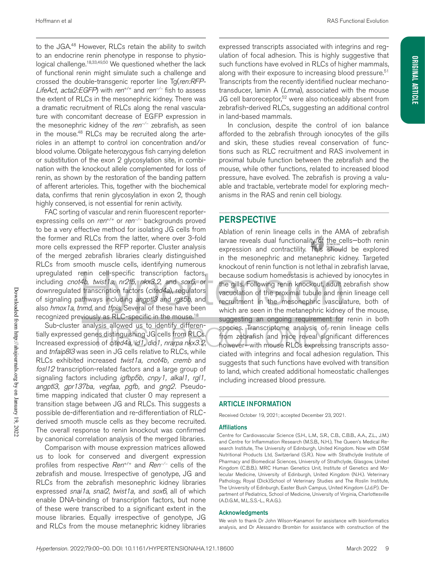to the JGA.<sup>48</sup> However, RLCs retain the ability to switch to an endocrine renin phenotype in response to physiological challenge.18,33,49,50 We questioned whether the lack of functional renin might simulate such a challenge and crossed the double-transgenic reporter line Tg(*ren:RFP-LifeAct, acta2:EGFP*) with *ren<sup>+/+</sup>* and *ren<sup>-/−</sup>* fish to assess the extent of RLCs in the mesonephric kidney. There was a dramatic recruitment of RLCs along the renal vasculature with concomitant decrease of EGFP expression in the mesonephric kidney of the *ren<sup>-/-</sup>* zebrafish, as seen in the mouse.<sup>48</sup> RLCs may be recruited along the arterioles in an attempt to control ion concentration and/or blood volume. Obligate heterozygous fish carrying deletion or substitution of the exon 2 glycosylation site, in combination with the knockout allele complemented for loss of renin, as shown by the restoration of the banding pattern of afferent arterioles. This, together with the biochemical data, confrms that renin glycosylation in exon 2, though highly conserved, is not essential for renin activity.

FAC sorting of vascular and renin fuorescent reporterexpressing cells on *ren<sup>+/+</sup>* or *ren<sup>-/−</sup>* backgrounds proved to be a very effective method for isolating JG cells from the former and RLCs from the latter, where over 3-fold more cells expressed the RFP reporter. Cluster analysis of the merged zebrafish libraries clearly distinguished RLCs from smooth muscle cells, identifying numerous upregulated renin cell-specifc transcription factors, including *cnot4b*, *twist1a*, *nr2f5*, *nkx3.2*, and *sox6*, or downregulated transcription factors (*cited4a*), regulators of signaling pathways including *angptl3* and *rgs5b*, and also *hmox1a*, *tnmd*, and *tfpia*. Several of these have been recognized previously as RLC-specific in the mouse.<sup>18</sup>

Sub-cluster analysis allowed us to identify differentially expressed genes distinguishing JG cells from RLCs. Increased expression of *cited4a, id1, dio1, nrarpa nkx3.2*, and *tnfaip8l3* was seen in JG cells relative to RLCs, while RLCs exhibited increased *twist1a, cnot4b, cremb* and *fosl12* transcription-related factors and a large group of signaling factors including *igfbp5b, cnpy1, alkal1, rgl1, angptl3, gpr137ba, vegfaa, pgfb,* and *gng2.* Pseudotime mapping indicated that cluster 0 may represent a transition stage between JG and RLCs. This suggests a possible de-differentiation and re-differentiation of RLCderived smooth muscle cells as they become recruited. The overall response to renin knockout was confirmed by canonical correlation analysis of the merged libraries.

Comparison with mouse expression matrices allowed us to look for conserved and divergent expression profles from respective *Ren*+/+ and *Ren−/−* cells of the zebrafish and mouse. Irrespective of genotype, JG and RLCs from the zebrafish mesonephric kidney libraries expressed *snai1a*, *snai2*, *twist1a,* and *sox6*, all of which enable DNA-binding of transcription factors, but none of these were transcribed to a signifcant extent in the mouse libraries. Equally irrespective of genotype, JG and RLCs from the mouse metanephric kidney libraries

expressed transcripts associated with integrins and regulation of focal adhesion. This is highly suggestive that such functions have evolved in RLCs of higher mammals, along with their exposure to increasing blood pressure.<sup>51</sup> Transcripts from the recently identifed nuclear mechanotransducer, lamin A (*Lmna*), associated with the mouse JG cell baroreceptor, $52$  were also noticeably absent from zebrafish-derived RLCs, suggesting an additional control in land-based mammals.

In conclusion, despite the control of ion balance afforded to the zebrafish through ionocytes of the gills and skin, these studies reveal conservation of functions such as RLC recruitment and RAS involvement in proximal tubule function between the zebrafish and the mouse, while other functions, related to increased blood pressure, have evolved. The zebrafish is proving a valuable and tractable, vertebrate model for exploring mechanisms in the RAS and renin cell biology.

## PERSPECTIVE

Ablation of renin lineage cells in the AMA of zebrafish larvae reveals dual functionality of the cells—both renin expression and contractility. This should be explored in the mesonephric and metanephric kidney. Targeted knockout of renin function is not lethal in zebrafish larvae, because sodium homeostasis is achieved by ionocytes in the gills. Following renin knockout, adult zebrafish show vacuolation of the proximal tubule and renin lineage cell recruitment in the mesonephric vasculature, both of which are seen in the metanephric kidney of the mouse, suggesting an ongoing requirement for renin in both species. Transcriptome analysis of renin lineage cells from zebrafish and mice reveal significant differences however—with mouse RLCs expressing transcripts associated with integrins and focal adhesion regulation. This suggests that such functions have evolved with transition to land, which created additional homeostatic challenges including increased blood pressure.

#### ARTICLE INFORMATION

Received October 19, 2021; accepted December 23, 2021.

#### **Affiliations**

Centre for Cardiovascular Science (S.H., L.M., S.R., C.B., C.B.B., A.A., Z.L., J.M.) and Centre for Infammation Research (M.S.B., N.H.), The Queen's Medical Research Institute, The University of Edinburgh, United Kingdom. Now with DSM Nutritional Products Ltd, Switzerland (S.R.). Now with Strathclyde Institute of Pharmacy and Biomedical Sciences, University of Strathclyde, Glasgow, United Kingdom (C.B.B.). MRC Human Genetics Unit, Institute of Genetics and Molecular Medicine, University of Edinburgh, United Kingdom (N.H.). Veterinary Pathology, Royal (Dick)School of Veterinary Studies and The Roslin Institute, The University of Edinburgh, Easter Bush Campus, United Kingdom (J.d.P.). Department of Pediatrics, School of Medicine, University of Virginia, Charlottesville (A.D.G.M., M.L.S.S.-L., R.A.G.).

#### Acknowledgments

We wish to thank Dr John Wilson-Kanamori for assistance with bioinformatics analysis, and Dr Alessandro Brombin for assistance with construction of the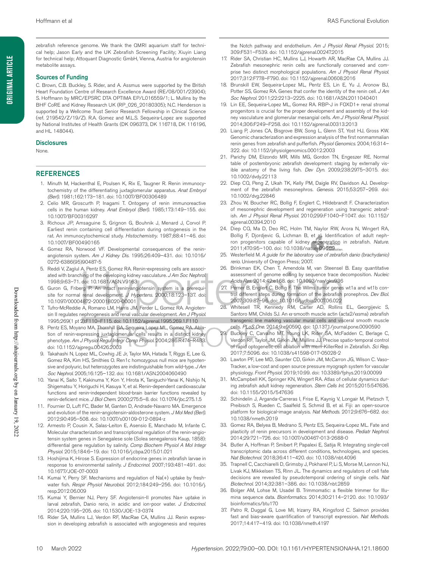zebrafish reference genome. We thank the QMRI aquarium staff for technical help; Jason Early and the UK Zebrafish Screening Facility; Xiuyin Liang for technical help; Attoquant Diagnostic GmbH, Vienna, Austria for angiotensin metabolite assays.

#### Sources of Funding

C. Brown, C.B. Buckley, S. Rider, and A. Assmus were supported by the British Heart Foundation Centre of Research Excellence Award (RE/08/001/23904); S. Hoffmann by MRC/EPSRC DTA OPTIMA EP/L016559/1; L. Mullins by the BHF CoRE and Kidney Research UK (RP\_026\_20180305); N.C. Henderson is supported by a Wellcome Trust Senior Research Fellowship in Clinical Science (ref. 219542/Z/19/Z). R.A. Gomez and M.L.S. Sequeira-Lopez are supported by National Institutes of Health Grants (DK 096373, DK 116718, DK 116196, and HL 148044).

#### **Disclosures**

None.

#### **REFERENCES**

- 1. Minuth M, Hackenthal E, Poulsen K, Rix E, Taugner R. Renin immunocytochemistry of the differentiating juxtaglomerular apparatus. *Anat Embryol (Berl)*. 1981;162:173–181. doi: 10.1007/BF00306489
- 2. Celio MR, Groscurth P, Inagami T. Ontogeny of renin immunoreactive cells in the human kidney. *Anat Embryol (Berl)*. 1985;173:149–155. doi: 10.1007/BF00316297
- 3. Richoux JP, Amsaguine S, Grignon G, Bouhnik J, Menard J, Corvol P. Earliest renin containing cell differentiation during ontogenesis in the rat. An immunocytochemical study. *Histochemistry*. 1987;88:41–46. doi: 10.1007/BF00490165
- 4. Gomez RA, Norwood VF. Developmental consequences of the reninangiotensin system. *Am J Kidney Dis*. 1995;26:409–431. doi: 10.1016/ 0272-6386(95)90487-5
- 5. Reddi V, Zaglul A, Pentz ES, Gomez RA. Renin-expressing cells are associated with branching of the developing kidney vasculature. *J Am Soc Nephrol*. 1998;9:63–71. doi: 10.1681/ASN.V9163
- 6. Guron G, Friberg P. An intact renin-angiotensin system is a prerequisite for normal renal development. *J Hypertens*. 2000;18:123–137. doi: 10.1097/00004872-200018020-00001
- 7. Tufro-McReddie A, Romano LM, Harris JM, Ferder L, Gomez RA. Angiotensin II regulates nephrogenesis and renal vascular development. *Am J Physiol*. 1995;269(1 pt 2):F110–F115. doi: 10.1152/ajprenal.1995.269.1.F110
- 8. Pentz ES, Moyano MA, Thornhill BA, Sequeira Lopez ML, Gomez RA. Ablation of renin-expressing juxtaglomerular cells results in a distinct kidney phenotype. *Am J Physiol Regul Integr Comp Physiol*. 2004;286:R474–R483. doi: 10.1152/ajpregu.00426.2003
- 9. Takahashi N, Lopez ML, Cowhig JE Jr, Taylor MA, Hatada T, Riggs E, Lee G, Gomez RA, Kim HS, Smithies O. Ren1c homozygous null mice are hypotensive and polyuric, but heterozygotes are indistinguishable from wild-type. *J Am Soc Nephrol*. 2005;16:125–132. doi: 10.1681/ASN.2004060490
- 10. Yanai K, Saito T, Kakinuma Y, Kon Y, Hirota K, Taniguchi-Yanai K, Nishijo N, Shigematsu Y, Horiguchi H, Kasuya Y, et al. Renin-dependent cardiovascular functions and renin-independent blood-brain barrier functions revealed by renin-defcient mice. *J Biol Chem*. 2000;275:5–8. doi: 10.1074/jbc.275.1.5
- 11. Fournier D, Luft FC, Bader M, Ganten D, Andrade-Navarro MA. Emergence and evolution of the renin-angiotensin-aldosterone system. *J Mol Med (Berl)*. 2012;90:495–508. doi: 10.1007/s00109-012-0894-z
- 12. Armesto P, Cousin X, Salas-Leiton E, Asensio E, Manchado M, Infante C. Molecular characterization and transcriptional regulation of the renin-angiotensin system genes in Senegalese sole (Solea senegalensis Kaup, 1858): differential gene regulation by salinity. *Comp Biochem Physiol A Mol Integr Physiol*. 2015;184:6–19. doi: 10.1016/j.cbpa.2015.01.021
- 13. Hoshijima K, Hirose S. Expression of endocrine genes in zebrafish larvae in response to environmental salinity. *J Endocrinol*. 2007;193:481–491. doi: 10.1677/JOE-07-0003
- 14. Kumai Y, Perry SF. Mechanisms and regulation of Na(+) uptake by freshwater fsh. *Respir Physiol Neurobiol*. 2012;184:249–256. doi: 10.1016/j. resp.2012.06.009
- 15. Kumai Y, Bernier NJ, Perry SF. Angiotensin-II promotes Na+ uptake in larval zebrafish, Danio rerio, in acidic and ion-poor water. *J Endocrinol*. 2014;220:195–205. doi: 10.1530/JOE-13-0374
- 16. Rider SA, Mullins LJ, Verdon RF, MacRae CA, Mullins JJ. Renin expression in developing zebrafish is associated with angiogenesis and requires

the Notch pathway and endothelium. *Am J Physiol Renal Physiol*. 2015; 309:F531–F539. doi: 10.1152/ajprenal.00247.2015

- 17. Rider SA, Christian HC, Mullins LJ, Howarth AR, MacRae CA, Mullins JJ. Zebrafish mesonephric renin cells are functionally conserved and comprise two distinct morphological populations. *Am J Physiol Renal Physiol*. 2017;312:F778–F790. doi: 10.1152/ajprenal.00608.2016
- 18. Brunskill EW, Sequeira-Lopez ML, Pentz ES, Lin E, Yu J, Aronow BJ, Potter SS, Gomez RA. Genes that confer the identity of the renin cell. *J Am Soc Nephrol*. 2011;22:2213–2225. doi: 10.1681/ASN.2011040401
- 19. Lin EE, Sequeira-Lopez ML, Gomez RA. RBP-J in FOXD1+ renal stromal progenitors is crucial for the proper development and assembly of the kidney vasculature and glomerular mesangial cells. *Am J Physiol Renal Physiol*. 2014;306:F249–F258. doi: 10.1152/ajprenal.00313.2013
- 20. Liang P, Jones CA, Bisgrove BW, Song L, Glenn ST, Yost HJ, Gross KW. Genomic characterization and expression analysis of the first nonmammalian renin genes from zebrafish and pufferfish. Physiol Genomics. 2004;16:314-322. doi: 10.1152/physiolgenomics.00012.2003
- 21. Parichy DM, Elizondo MR, Mills MG, Gordon TN, Engeszer RE. Normal table of postembryonic zebrafish development: staging by externally visible anatomy of the living fish. *Dev Dyn.* 2009;238:2975-3015. doi: 10.1002/dvdy.22113
- 22. Diep CQ, Peng Z, Ukah TK, Kelly PM, Daigle RV, Davidson AJ. Development of the zebrafish mesonephros. *Genesis*. 2015;53:257-269. doi: 10.1002/dvg.22846
- 23. Zhou W, Boucher RC, Bollig F, Englert C, Hildebrandt F. Characterization of mesonephric development and regeneration using transgenic zebrafish. *Am J Physiol Renal Physiol*. 2010;299:F1040–F1047. doi: 10.1152/ ajprenal.00394.2010
- 24. Diep CQ, Ma D, Deo RC, Holm TM, Naylor RW, Arora N, Wingert RA, Bollig F, Djordjevic G, Lichman B, et al. Identification of adult nephron progenitors capable of kidney regeneration in zebrafish. Nature. 2011;470:95-100. doi: 10.1038/nature09669
- 25. Westerfeld M. *A guide for the laboratory use of zebrafish danio (brachydanio) rerio*. University of Oregon Press; 2007.
- 26. Brinkman EK, Chen T, Amendola M, van Steensel B. Easy quantitative assessment of genome editing by sequence trace decomposition. *Nucleic Acids Res*. 2014;42:e168. doi: 10.1093/nar/gku936
- 27. Perner B, Englert C, Bollig F. The Wilms tumor genes wt1a and wt1b control different steps during formation of the zebrafsh pronephros. *Dev Biol*. 2007;309:87–96. doi: 10.1016/j.ydbio.2007.06.022
- Whitesell TR, Kennedy RM, Carter AD, Rollins EL, Georgijevic S, Santoro MM, Childs SJ. An  $\alpha$ -smooth muscle actin (acta2/ $\alpha$ sma) zebrafish transgenic line marking vascular mural cells and visceral smooth muscle cells. *PLoS One*. 2014;9:e90590. doi: 10.1371/journal.pone.0090590
- Buckley C, Carvalho MT, Young LK, Rider SA, McFadden C, Berlage C, Verdon RF, Taylor JM, Girkin JM, Mullins JJ. Precise spatio-temporal control of rapid optogenetic cell ablation with mem-KillerRed in Zebrafish. Sci Rep. 2017;7:5096. doi: 10.1038/s41598-017-05028-2
- 30. Lawton PF, Lee MD, Saunter CD, Girkin JM, McCarron JG, Wilson C. Vaso-Tracker, a low-cost and open source pressure myograph system for vascular physiology. *Front Physiol*. 2019;10:99. doi: 10.3389/fphys.2019.00099
- 31. McCampbell KK, Springer KN, Wingert RA. Atlas of cellular dynamics during zebrafish adult kidney regeneration. Stem Cells Int. 2015;2015:547636. doi: 10.1155/2015/547636
- 32. Schindelin J, Arganda-Carreras I, Frise E, Kaynig V, Longair M, Pietzsch T, Preibisch S, Rueden C, Saalfeld S, Schmid B, et al. Fiji: an open-source platform for biological-image analysis. *Nat Methods*. 2012;9:676–682. doi: 10.1038/nmeth.2019
- 33. Gomez RA, Belyea B, Medrano S, Pentz ES, Sequeira-Lopez ML. Fate and plasticity of renin precursors in development and disease. *Pediatr Nephrol*. 2014;29:721–726. doi: 10.1007/s00467-013-2688-0
- 34. Butler A, Hoffman P, Smibert P, Papalexi E, Satija R. Integrating single-cell transcriptomic data across different conditions, technologies, and species. *Nat Biotechnol*. 2018;36:411–420. doi: 10.1038/nbt.4096
- 35. Trapnell C, Cacchiarelli D, Grimsby J, Pokharel P, Li S, Morse M, Lennon NJ, Livak KJ, Mikkelsen TS, Rinn JL. The dynamics and regulators of cell fate decisions are revealed by pseudotemporal ordering of single cells. *Nat Biotechnol*. 2014;32:381–386. doi: 10.1038/nbt.2859
- 36. Bolger AM, Lohse M, Usadel B. Trimmomatic: a fexible trimmer for Illumina sequence data. *Bioinformatics*. 2014;30:2114–2120. doi: 10.1093/ bioinformatics/btu170
- 37. Patro R, Duggal G, Love MI, Irizarry RA, Kingsford C. Salmon provides fast and bias-aware quantifcation of transcript expression. *Nat Methods*. 2017;14:417–419. doi: 10.1038/nmeth.4197